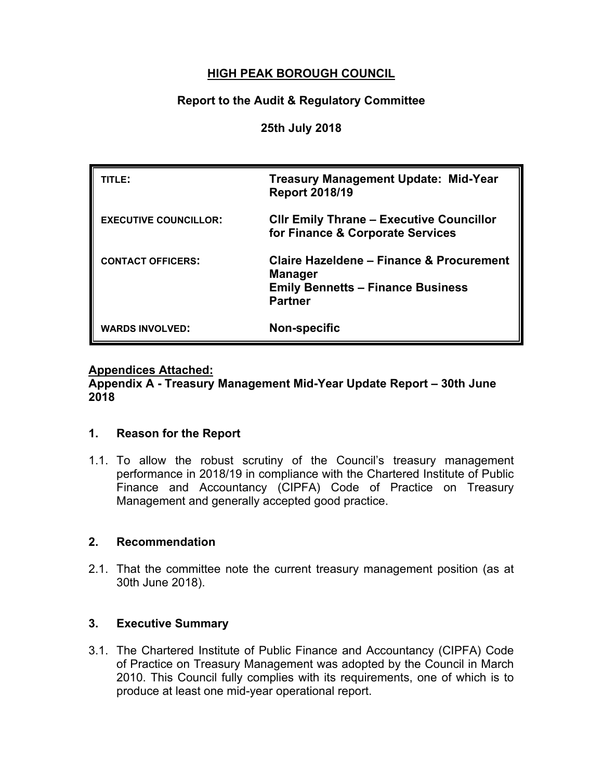## **HIGH PEAK BOROUGH COUNCIL**

## **Report to the Audit & Regulatory Committee**

## **25th July 2018**

| TITLE:                       | <b>Treasury Management Update: Mid-Year</b><br><b>Report 2018/19</b>                                                     |
|------------------------------|--------------------------------------------------------------------------------------------------------------------------|
| <b>EXECUTIVE COUNCILLOR:</b> | <b>CIIr Emily Thrane - Executive Councillor</b><br>for Finance & Corporate Services                                      |
| <b>CONTACT OFFICERS:</b>     | Claire Hazeldene - Finance & Procurement<br><b>Manager</b><br><b>Emily Bennetts - Finance Business</b><br><b>Partner</b> |
| <b>WARDS INVOLVED:</b>       | Non-specific                                                                                                             |

## **Appendices Attached:**

## **Appendix A - Treasury Management Mid-Year Update Report – 30th June 2018**

## **1. Reason for the Report**

1.1. To allow the robust scrutiny of the Council's treasury management performance in 2018/19 in compliance with the Chartered Institute of Public Finance and Accountancy (CIPFA) Code of Practice on Treasury Management and generally accepted good practice.

## **2. Recommendation**

2.1. That the committee note the current treasury management position (as at 30th June 2018).

## **3. Executive Summary**

3.1. The Chartered Institute of Public Finance and Accountancy (CIPFA) Code of Practice on Treasury Management was adopted by the Council in March 2010. This Council fully complies with its requirements, one of which is to produce at least one mid-year operational report.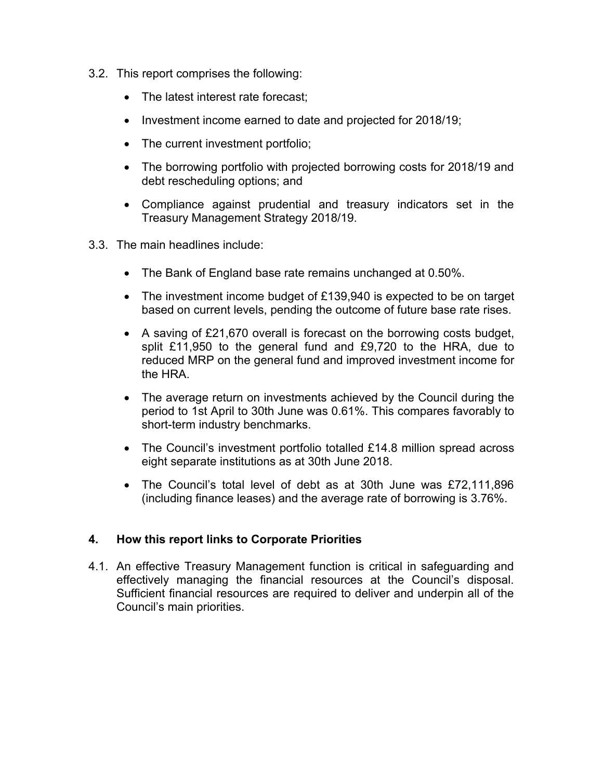- 3.2. This report comprises the following:
	- The latest interest rate forecast;
	- Investment income earned to date and projected for 2018/19;
	- The current investment portfolio;
	- The borrowing portfolio with projected borrowing costs for 2018/19 and debt rescheduling options; and
	- Compliance against prudential and treasury indicators set in the Treasury Management Strategy 2018/19.
- 3.3. The main headlines include:
	- The Bank of England base rate remains unchanged at 0.50%.
	- The investment income budget of £139,940 is expected to be on target based on current levels, pending the outcome of future base rate rises.
	- A saving of £21,670 overall is forecast on the borrowing costs budget, split £11,950 to the general fund and £9,720 to the HRA, due to reduced MRP on the general fund and improved investment income for the HRA.
	- The average return on investments achieved by the Council during the period to 1st April to 30th June was 0.61%. This compares favorably to short-term industry benchmarks.
	- The Council's investment portfolio totalled £14.8 million spread across eight separate institutions as at 30th June 2018.
	- The Council's total level of debt as at 30th June was £72,111,896 (including finance leases) and the average rate of borrowing is 3.76%.

## **4. How this report links to Corporate Priorities**

4.1. An effective Treasury Management function is critical in safeguarding and effectively managing the financial resources at the Council's disposal. Sufficient financial resources are required to deliver and underpin all of the Council's main priorities.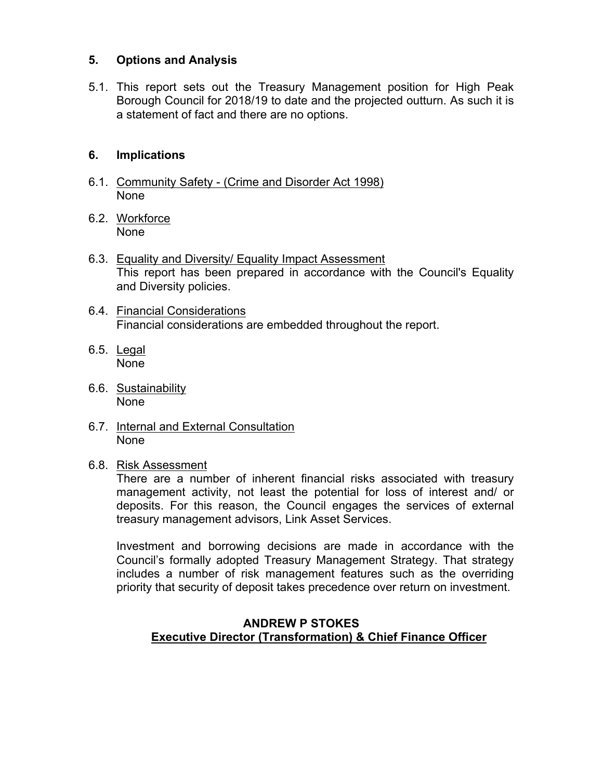## **5. Options and Analysis**

5.1. This report sets out the Treasury Management position for High Peak Borough Council for 2018/19 to date and the projected outturn. As such it is a statement of fact and there are no options.

## **6. Implications**

- 6.1. Community Safety (Crime and Disorder Act 1998) None
- 6.2. Workforce None
- 6.3. Equality and Diversity/ Equality Impact Assessment This report has been prepared in accordance with the Council's Equality and Diversity policies.
- 6.4. Financial Considerations Financial considerations are embedded throughout the report.
- 6.5. Legal None
- 6.6. Sustainability None
- 6.7. Internal and External Consultation None
- 6.8. Risk Assessment

There are a number of inherent financial risks associated with treasury management activity, not least the potential for loss of interest and/ or deposits. For this reason, the Council engages the services of external treasury management advisors, Link Asset Services.

Investment and borrowing decisions are made in accordance with the Council's formally adopted Treasury Management Strategy. That strategy includes a number of risk management features such as the overriding priority that security of deposit takes precedence over return on investment.

## **ANDREW P STOKES Executive Director (Transformation) & Chief Finance Officer**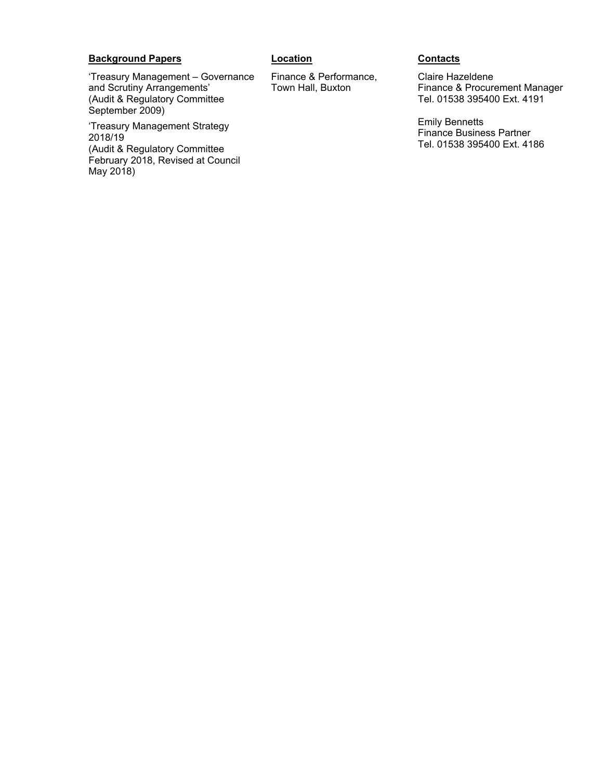### **Background Papers Contacts**

'Treasury Management – Governance and Scrutiny Arrangements' (Audit & Regulatory Committee September 2009)

'Treasury Management Strategy 2018/19 (Audit & Regulatory Committee February 2018, Revised at Council May 2018)

Finance & Performance, Town Hall, Buxton

Claire Hazeldene Finance & Procurement Manager Tel. 01538 395400 Ext. 4191

Emily Bennetts Finance Business Partner Tel. 01538 395400 Ext. 4186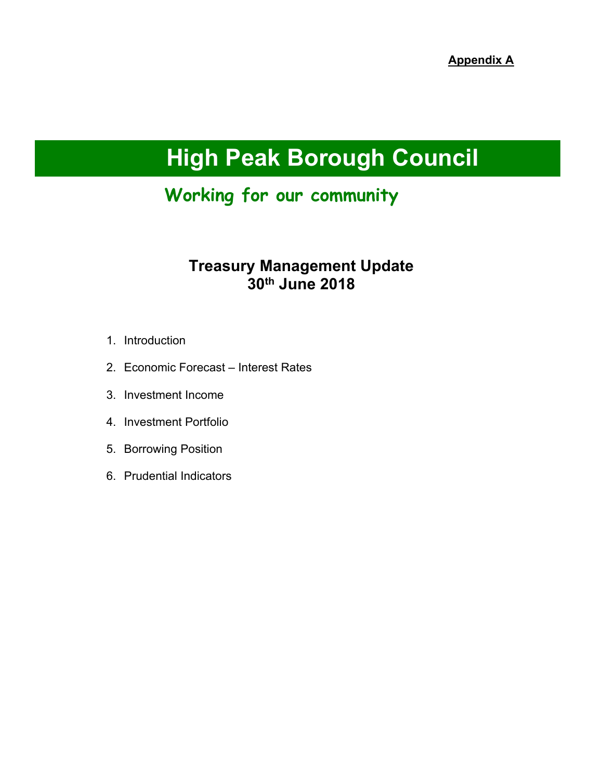**Appendix A**

# **High Peak Borough Council**

## **Working for our community**

## **Treasury Management Update 30th June 2018**

- 1. Introduction
- 2. Economic Forecast Interest Rates
- 3. Investment Income
- 4. Investment Portfolio
- 5. Borrowing Position
- 6. Prudential Indicators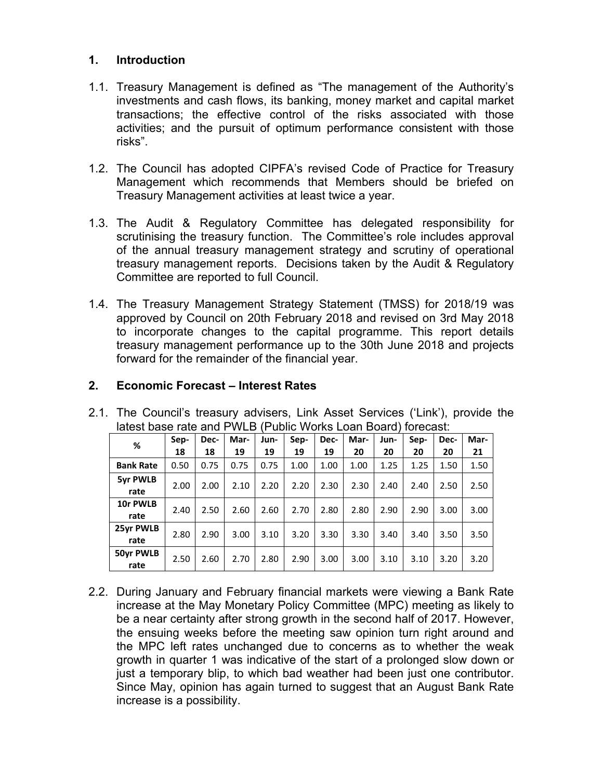## **1. Introduction**

- 1.1. Treasury Management is defined as "The management of the Authority's investments and cash flows, its banking, money market and capital market transactions; the effective control of the risks associated with those activities; and the pursuit of optimum performance consistent with those risks".
- 1.2. The Council has adopted CIPFA's revised Code of Practice for Treasury Management which recommends that Members should be briefed on Treasury Management activities at least twice a year.
- 1.3. The Audit & Regulatory Committee has delegated responsibility for scrutinising the treasury function. The Committee's role includes approval of the annual treasury management strategy and scrutiny of operational treasury management reports. Decisions taken by the Audit & Regulatory Committee are reported to full Council.
- 1.4. The Treasury Management Strategy Statement (TMSS) for 2018/19 was approved by Council on 20th February 2018 and revised on 3rd May 2018 to incorporate changes to the capital programme. This report details treasury management performance up to the 30th June 2018 and projects forward for the remainder of the financial year.

## **2. Economic Forecast – Interest Rates**

- **% Sep-18 Dec-18 Mar-19 Jun-19 Sep-19 Dec-19 Mar-20 Jun-20 Sep-20 Dec-20 Mar-21 Bank Rate** | 0.50 | 0.75 | 0.75 | 0.75 | 1.00 | 1.00 | 1.00 | 1.25 | 1.25 | 1.50 | 1.50 **5yr PWLB rate** 2.00 | 2.00 | 2.10 | 2.20 | 2.20 | 2.30 | 2.30 | 2.40 | 2.40 | 2.50 | 2.50 **10r PWLB rate** 2.40 | 2.50 | 2.60 | 2.60 | 2.70 | 2.80 | 2.80 | 2.90 | 2.90 | 3.00 | 3.00 **25yr PWLB rate** 2.80 | 2.90 | 3.00 | 3.10 | 3.20 | 3.30 | 3.30 | 3.40 | 3.40 | 3.50 | 3.50 **50yr PWLB rate** 2.50 | 2.60 | 2.70 | 2.80 | 2.90 | 3.00 | 3.00 | 3.10 | 3.10 | 3.20 | 3.20
- 2.1. The Council's treasury advisers, Link Asset Services ('Link'), provide the latest base rate and PWLB (Public Works Loan Board) forecast:

2.2. During January and February financial markets were viewing a Bank Rate increase at the May Monetary Policy Committee (MPC) meeting as likely to be a near certainty after strong growth in the second half of 2017. However, the ensuing weeks before the meeting saw opinion turn right around and the MPC left rates unchanged due to concerns as to whether the weak growth in quarter 1 was indicative of the start of a prolonged slow down or just a temporary blip, to which bad weather had been just one contributor. Since May, opinion has again turned to suggest that an August Bank Rate increase is a possibility.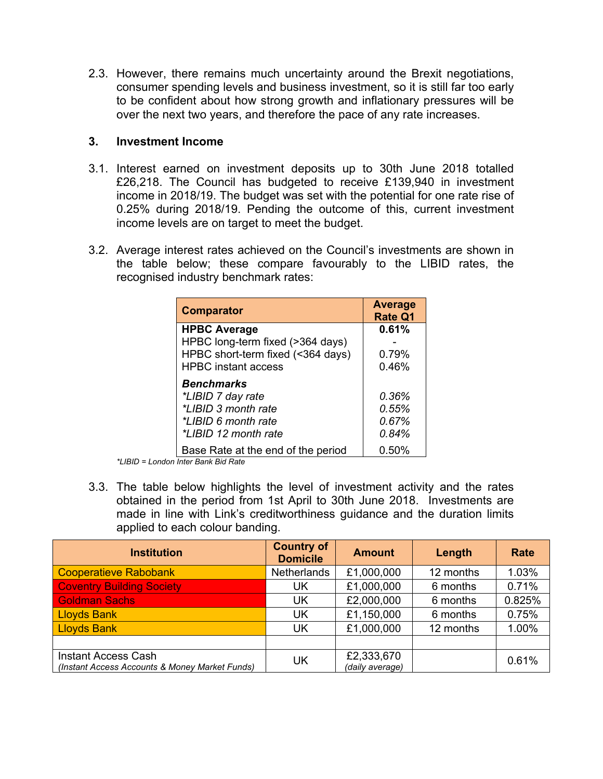2.3. However, there remains much uncertainty around the Brexit negotiations, consumer spending levels and business investment, so it is still far too early to be confident about how strong growth and inflationary pressures will be over the next two years, and therefore the pace of any rate increases.

## **3. Investment Income**

- 3.1. Interest earned on investment deposits up to 30th June 2018 totalled £26,218. The Council has budgeted to receive £139,940 in investment income in 2018/19. The budget was set with the potential for one rate rise of 0.25% during 2018/19. Pending the outcome of this, current investment income levels are on target to meet the budget.
- 3.2. Average interest rates achieved on the Council's investments are shown in the table below; these compare favourably to the LIBID rates, the recognised industry benchmark rates:

| <b>Comparator</b>                                          | <b>Average</b><br><b>Rate Q1</b> |
|------------------------------------------------------------|----------------------------------|
| <b>HPBC Average</b>                                        | 0.61%                            |
| HPBC long-term fixed (>364 days)                           |                                  |
| HPBC short-term fixed (<364 days)                          | 0.79%                            |
| <b>HPBC</b> instant access                                 | 0.46%                            |
| <b>Benchmarks</b>                                          |                                  |
| *LIBID 7 day rate                                          | 0.36%                            |
| *LIBID 3 month rate                                        | 0.55%                            |
| *LIBID 6 month rate                                        | 0.67%                            |
| *LIBID 12 month rate                                       | 0.84%                            |
| Base Rate at the end of the period<br>1.1.1.01.01.01.01.01 | 0.50%                            |

*\*LIBID = London Inter Bank Bid Rate*

3.3. The table below highlights the level of investment activity and the rates obtained in the period from 1st April to 30th June 2018. Investments are made in line with Link's creditworthiness guidance and the duration limits applied to each colour banding.

| <b>Institution</b>                                                           | <b>Country of</b><br><b>Domicile</b> | <b>Amount</b>                 | Length    | Rate   |
|------------------------------------------------------------------------------|--------------------------------------|-------------------------------|-----------|--------|
| <b>Cooperatieve Rabobank</b>                                                 | <b>Netherlands</b>                   | £1,000,000                    | 12 months | 1.03%  |
| <b>Coventry Building Society</b>                                             | UK                                   | £1,000,000                    | 6 months  | 0.71%  |
| <b>Goldman Sachs</b>                                                         | <b>UK</b>                            | £2,000,000                    | 6 months  | 0.825% |
| <b>Lloyds Bank</b>                                                           | <b>UK</b>                            | £1,150,000                    | 6 months  | 0.75%  |
| <b>Lloyds Bank</b>                                                           | <b>UK</b>                            | £1,000,000                    | 12 months | 1.00%  |
|                                                                              |                                      |                               |           |        |
| <b>Instant Access Cash</b><br>(Instant Access Accounts & Money Market Funds) | <b>UK</b>                            | £2,333,670<br>(daily average) |           | 0.61%  |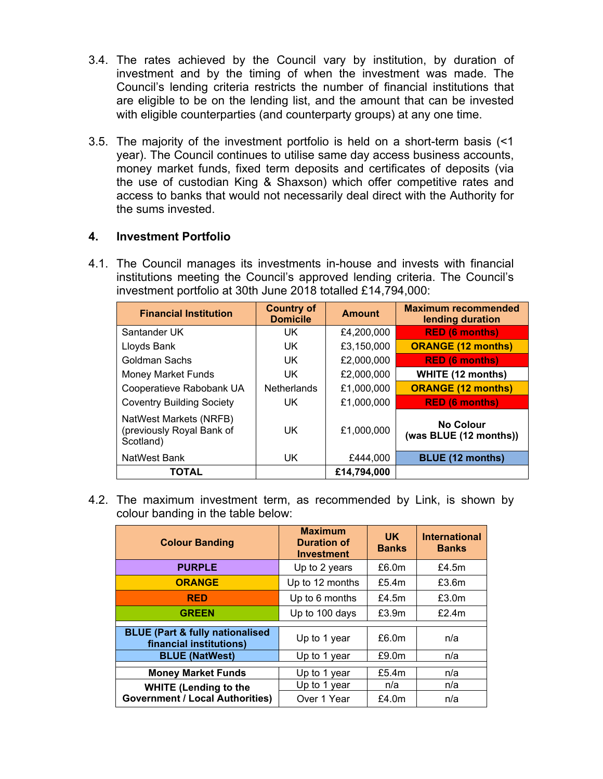- 3.4. The rates achieved by the Council vary by institution, by duration of investment and by the timing of when the investment was made. The Council's lending criteria restricts the number of financial institutions that are eligible to be on the lending list, and the amount that can be invested with eligible counterparties (and counterparty groups) at any one time.
- 3.5. The majority of the investment portfolio is held on a short-term basis (<1 year). The Council continues to utilise same day access business accounts, money market funds, fixed term deposits and certificates of deposits (via the use of custodian King & Shaxson) which offer competitive rates and access to banks that would not necessarily deal direct with the Authority for the sums invested.

## **4. Investment Portfolio**

4.1. The Council manages its investments in-house and invests with financial institutions meeting the Council's approved lending criteria. The Council's investment portfolio at 30th June 2018 totalled £14,794,000:

| <b>Financial Institution</b>                                     | <b>Country of</b><br><b>Domicile</b> | <b>Amount</b> | <b>Maximum recommended</b><br>lending duration |
|------------------------------------------------------------------|--------------------------------------|---------------|------------------------------------------------|
| Santander UK                                                     | UK.                                  | £4,200,000    | <b>RED (6 months)</b>                          |
| Lloyds Bank                                                      | UK.                                  | £3,150,000    | <b>ORANGE (12 months)</b>                      |
| Goldman Sachs                                                    | UK.                                  | £2,000,000    | <b>RED (6 months)</b>                          |
| <b>Money Market Funds</b>                                        | UK.                                  | £2,000,000    | <b>WHITE (12 months)</b>                       |
| Cooperatieve Rabobank UA                                         | <b>Netherlands</b>                   | £1,000,000    | <b>ORANGE (12 months)</b>                      |
| <b>Coventry Building Society</b>                                 | UK.                                  | £1,000,000    | <b>RED (6 months)</b>                          |
| NatWest Markets (NRFB)<br>(previously Royal Bank of<br>Scotland) | UK.                                  | £1,000,000    | <b>No Colour</b><br>(was BLUE (12 months))     |
| NatWest Bank                                                     | UK.                                  | £444,000      | <b>BLUE (12 months)</b>                        |
| TOTAL                                                            |                                      | £14,794,000   |                                                |

4.2. The maximum investment term, as recommended by Link, is shown by colour banding in the table below:

| <b>Colour Banding</b>                                                 | <b>Maximum</b><br><b>Duration of</b><br><b>Investment</b> | <b>UK</b><br><b>Banks</b> | <b>International</b><br><b>Banks</b> |
|-----------------------------------------------------------------------|-----------------------------------------------------------|---------------------------|--------------------------------------|
| <b>PURPLE</b>                                                         | Up to 2 years                                             | £6.0m                     | £4.5 $m$                             |
| <b>ORANGE</b>                                                         | Up to 12 months                                           | £5.4 $m$                  | £3.6m                                |
| <b>RED</b>                                                            | Up to 6 months                                            | £4.5 $m$                  | £3.0 <sub>m</sub>                    |
| <b>GREEN</b>                                                          | Up to 100 days                                            | £3.9m                     | £2.4m                                |
| <b>BLUE (Part &amp; fully nationalised</b><br>financial institutions) | Up to 1 year                                              | £6.0m                     | n/a                                  |
| <b>BLUE (NatWest)</b>                                                 | Up to 1 year                                              | £9.0m                     | n/a                                  |
| <b>Money Market Funds</b>                                             | Up to 1 year                                              | £5.4 $m$                  | n/a                                  |
| <b>WHITE (Lending to the</b>                                          | Up to 1 year                                              | n/a                       | n/a                                  |
| <b>Government / Local Authorities)</b>                                | Over 1 Year                                               | £4.0m                     | n/a                                  |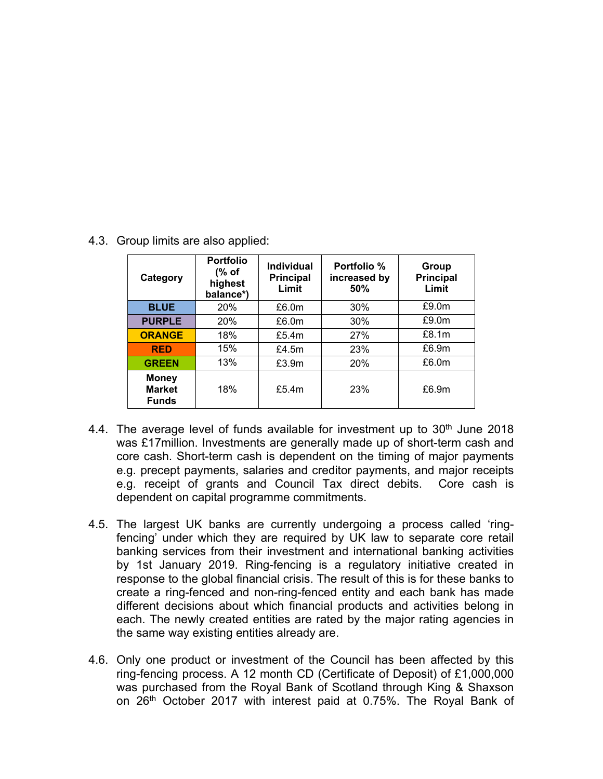4.3. Group limits are also applied:

| Category                                      | <b>Portfolio</b><br>(% of<br>highest<br>balance*) | Individual<br><b>Principal</b><br>Limit | Portfolio %<br>increased by<br>50% | Group<br>Principal<br>Limit |
|-----------------------------------------------|---------------------------------------------------|-----------------------------------------|------------------------------------|-----------------------------|
| <b>BLUE</b>                                   | <b>20%</b>                                        | £6.0m                                   | $30\%$                             | £9.0m                       |
| <b>PURPLE</b>                                 | <b>20%</b>                                        | £6.0m                                   | 30%                                | £9.0m                       |
| <b>ORANGE</b>                                 | 18%                                               | £5.4m                                   | <b>27%</b>                         | £8.1m                       |
| <b>RED</b>                                    | 15%                                               | £4.5m                                   | 23%                                | £6.9m                       |
| <b>GREEN</b>                                  | 13%                                               | £3.9m                                   | <b>20%</b>                         | £6.0m                       |
| <b>Money</b><br><b>Market</b><br><b>Funds</b> | 18%                                               | £5.4 $m$                                | 23%                                | £6.9m                       |

- 4.4. The average level of funds available for investment up to 30<sup>th</sup> June 2018 was £17million. Investments are generally made up of short-term cash and core cash. Short-term cash is dependent on the timing of major payments e.g. precept payments, salaries and creditor payments, and major receipts e.g. receipt of grants and Council Tax direct debits. Core cash is dependent on capital programme commitments.
- 4.5. The largest UK banks are currently undergoing a process called 'ringfencing' under which they are required by UK law to separate core retail banking services from their investment and international banking activities by 1st January 2019. Ring-fencing is a regulatory initiative created in response to the global financial crisis. The result of this is for these banks to create a ring-fenced and non-ring-fenced entity and each bank has made different decisions about which financial products and activities belong in each. The newly created entities are rated by the major rating agencies in the same way existing entities already are.
- 4.6. Only one product or investment of the Council has been affected by this ring-fencing process. A 12 month CD (Certificate of Deposit) of £1,000,000 was purchased from the Royal Bank of Scotland through King & Shaxson on 26<sup>th</sup> October 2017 with interest paid at 0.75%. The Royal Bank of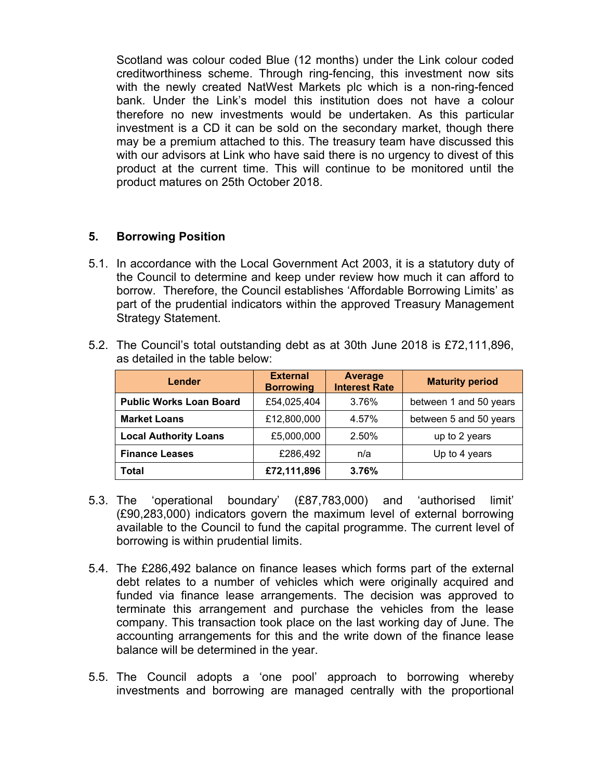Scotland was colour coded Blue (12 months) under the Link colour coded creditworthiness scheme. Through ring-fencing, this investment now sits with the newly created NatWest Markets plc which is a non-ring-fenced bank. Under the Link's model this institution does not have a colour therefore no new investments would be undertaken. As this particular investment is a CD it can be sold on the secondary market, though there may be a premium attached to this. The treasury team have discussed this with our advisors at Link who have said there is no urgency to divest of this product at the current time. This will continue to be monitored until the product matures on 25th October 2018.

## **5. Borrowing Position**

5.1. In accordance with the Local Government Act 2003, it is a statutory duty of the Council to determine and keep under review how much it can afford to borrow. Therefore, the Council establishes 'Affordable Borrowing Limits' as part of the prudential indicators within the approved Treasury Management Strategy Statement.

| Lender                         | <b>External</b><br><b>Borrowing</b> | Average<br><b>Interest Rate</b> | <b>Maturity period</b> |
|--------------------------------|-------------------------------------|---------------------------------|------------------------|
| <b>Public Works Loan Board</b> | £54,025,404                         | 3.76%                           | between 1 and 50 years |
| <b>Market Loans</b>            | £12,800,000                         | 4.57%                           | between 5 and 50 years |
| <b>Local Authority Loans</b>   | £5,000,000                          | 2.50%                           | up to 2 years          |
| <b>Finance Leases</b>          | £286,492                            | n/a                             | Up to 4 years          |
| <b>Total</b>                   | £72,111,896                         | 3.76%                           |                        |

5.2. The Council's total outstanding debt as at 30th June 2018 is £72,111,896, as detailed in the table below:

- 5.3. The 'operational boundary' (£87,783,000) and 'authorised limit' (£90,283,000) indicators govern the maximum level of external borrowing available to the Council to fund the capital programme. The current level of borrowing is within prudential limits.
- 5.4. The £286,492 balance on finance leases which forms part of the external debt relates to a number of vehicles which were originally acquired and funded via finance lease arrangements. The decision was approved to terminate this arrangement and purchase the vehicles from the lease company. This transaction took place on the last working day of June. The accounting arrangements for this and the write down of the finance lease balance will be determined in the year.
- 5.5. The Council adopts a 'one pool' approach to borrowing whereby investments and borrowing are managed centrally with the proportional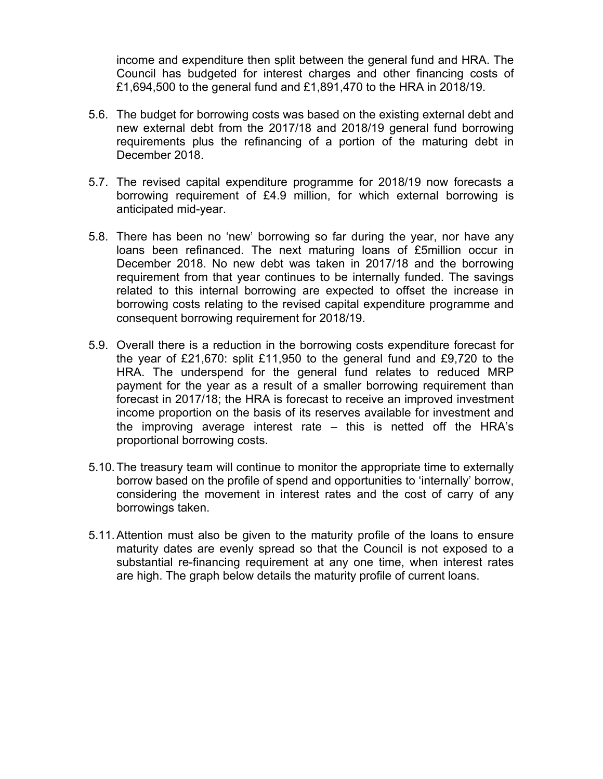income and expenditure then split between the general fund and HRA. The Council has budgeted for interest charges and other financing costs of £1,694,500 to the general fund and £1,891,470 to the HRA in 2018/19.

- 5.6. The budget for borrowing costs was based on the existing external debt and new external debt from the 2017/18 and 2018/19 general fund borrowing requirements plus the refinancing of a portion of the maturing debt in December 2018.
- 5.7. The revised capital expenditure programme for 2018/19 now forecasts a borrowing requirement of £4.9 million, for which external borrowing is anticipated mid-year.
- 5.8. There has been no 'new' borrowing so far during the year, nor have any loans been refinanced. The next maturing loans of £5million occur in December 2018. No new debt was taken in 2017/18 and the borrowing requirement from that year continues to be internally funded. The savings related to this internal borrowing are expected to offset the increase in borrowing costs relating to the revised capital expenditure programme and consequent borrowing requirement for 2018/19.
- 5.9. Overall there is a reduction in the borrowing costs expenditure forecast for the year of £21,670: split £11,950 to the general fund and £9,720 to the HRA. The underspend for the general fund relates to reduced MRP payment for the year as a result of a smaller borrowing requirement than forecast in 2017/18; the HRA is forecast to receive an improved investment income proportion on the basis of its reserves available for investment and the improving average interest rate – this is netted off the HRA's proportional borrowing costs.
- 5.10.The treasury team will continue to monitor the appropriate time to externally borrow based on the profile of spend and opportunities to 'internally' borrow, considering the movement in interest rates and the cost of carry of any borrowings taken.
- 5.11.Attention must also be given to the maturity profile of the loans to ensure maturity dates are evenly spread so that the Council is not exposed to a substantial re-financing requirement at any one time, when interest rates are high. The graph below details the maturity profile of current loans.